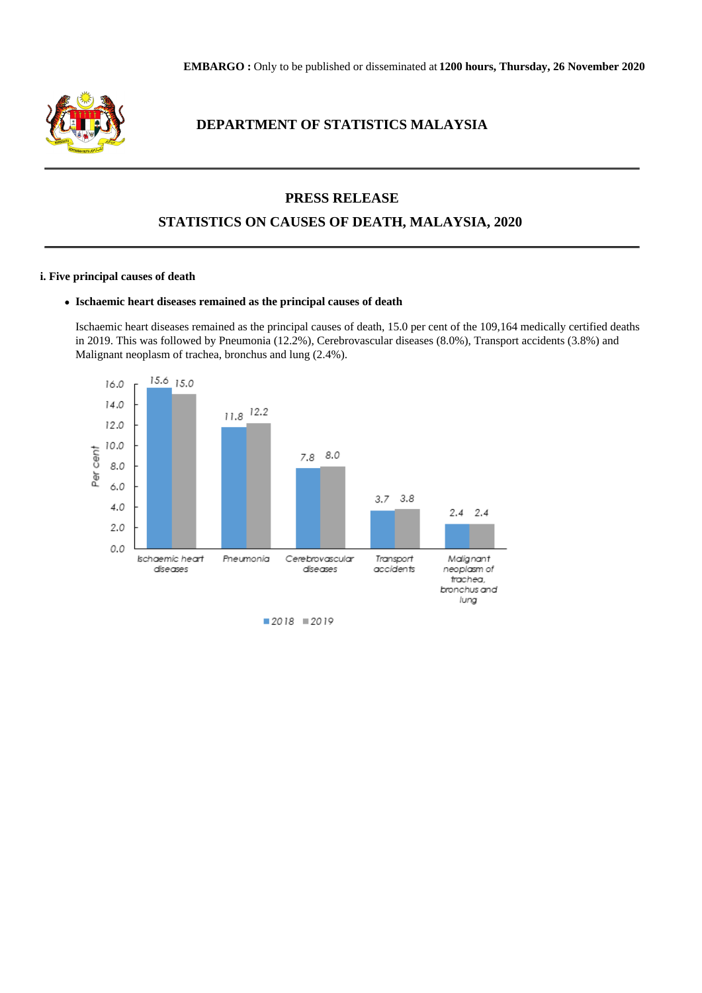

# **DEPARTMENT OF STATISTICS MALAYSIA**

## **PRESS RELEASE**

## **STATISTICS ON CAUSES OF DEATH, MALAYSIA, 2020**

#### **i. Five principal causes of death**

#### **Ischaemic heart diseases remained as the principal causes of death**

Ischaemic heart diseases remained as the principal causes of death, 15.0 per cent of the 109,164 medically certified deaths in 2019. This was followed by Pneumonia (12.2%), Cerebrovascular diseases (8.0%), Transport accidents (3.8%) and Malignant neoplasm of trachea, bronchus and lung (2.4%).

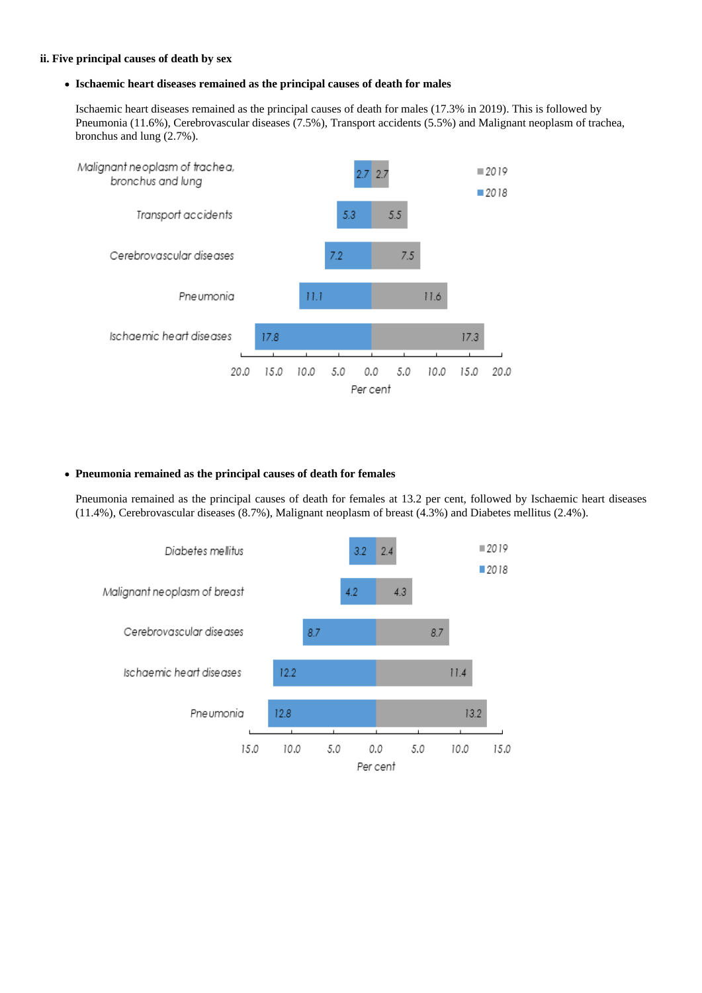#### **ii. Five principal causes of death by sex**

#### **Ischaemic heart diseases remained as the principal causes of death for males**

Ischaemic heart diseases remained as the principal causes of death for males (17.3% in 2019). This is followed by Pneumonia (11.6%), Cerebrovascular diseases (7.5%), Transport accidents (5.5%) and Malignant neoplasm of trachea, bronchus and lung (2.7%).



#### **Pneumonia remained as the principal causes of death for females**

Pneumonia remained as the principal causes of death for females at 13.2 per cent, followed by Ischaemic heart diseases (11.4%), Cerebrovascular diseases (8.7%), Malignant neoplasm of breast (4.3%) and Diabetes mellitus (2.4%).

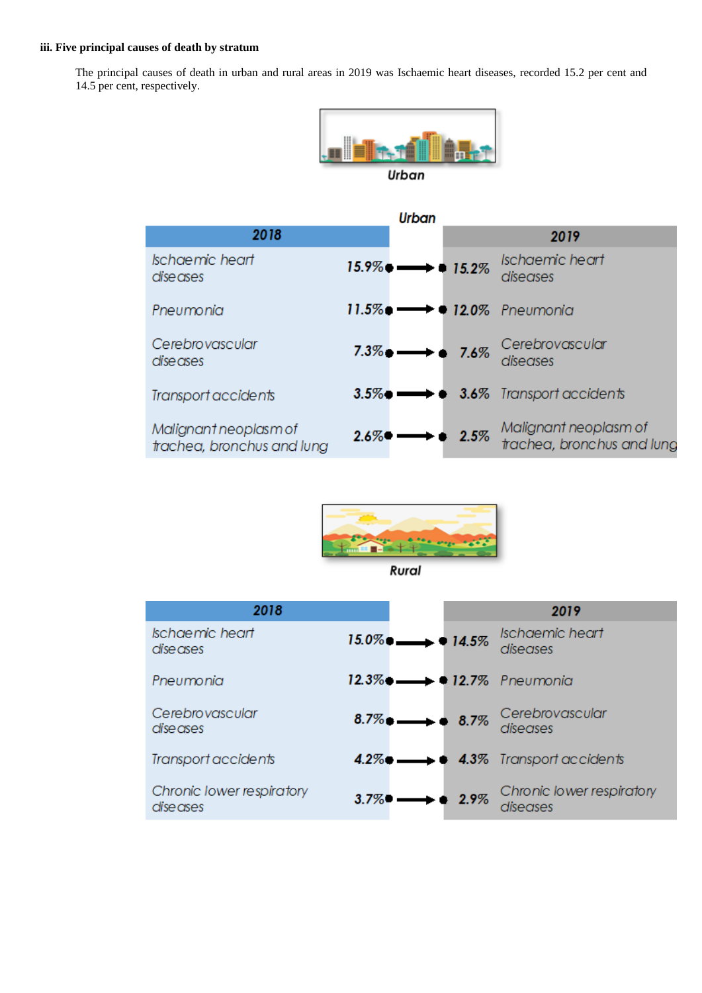## **iii. Five principal causes of death by stratum**

The principal causes of death in urban and rural areas in 2019 was Ischaemic heart diseases, recorded 15.2 per cent and 14.5 per cent, respectively.



| <b>Urban</b>                                        |                                     |                     |                                                                 |  |  |
|-----------------------------------------------------|-------------------------------------|---------------------|-----------------------------------------------------------------|--|--|
| 2018                                                |                                     |                     | 2019                                                            |  |  |
| <b>Ischaemic heart</b><br>diseases                  | $15.9\%$ $\longrightarrow$ $15.2\%$ |                     | Ischaemic heart<br>diseases                                     |  |  |
| Pneumonia                                           |                                     |                     |                                                                 |  |  |
| Cerebrovascular<br>diseases                         |                                     |                     | 7.3% 7.6% Cerebrovascular                                       |  |  |
| Transport accidents                                 |                                     |                     | $3.5\%$ $\longrightarrow$ $\bullet$ $3.6\%$ Transport accidents |  |  |
| Malignant neoplasm of<br>trachea, bronchus and lung | $2.6\%$                             | $\rightarrow 2.5\%$ | Malignant neoplasm of<br>trachea, bronchus and lung             |  |  |



Rural

| 2018                                  |                                                      | 2019                                                          |
|---------------------------------------|------------------------------------------------------|---------------------------------------------------------------|
| Ischaemic heart<br>dise ases          | $15.0\%$ $\longrightarrow 14.5\%$                    | Ischaemic heart<br>diseases                                   |
| Pneumonia                             | $12.3\%$ $\longrightarrow$ $\bullet$ 12.7% Pneumonia |                                                               |
| Cerebrovascular<br>dise ases          |                                                      | $8.7\%$ $\longrightarrow$ $8.7\%$ Cerebrovascular<br>diseases |
| Transport accidents                   |                                                      | $4.2\%$ $\longrightarrow$ $4.3\%$ Transport accidents         |
| Chronic lower respiratory<br>diseases | $3.7\%$ $\longrightarrow$ 2.9%                       | Chronic lower respiratory<br>diseases                         |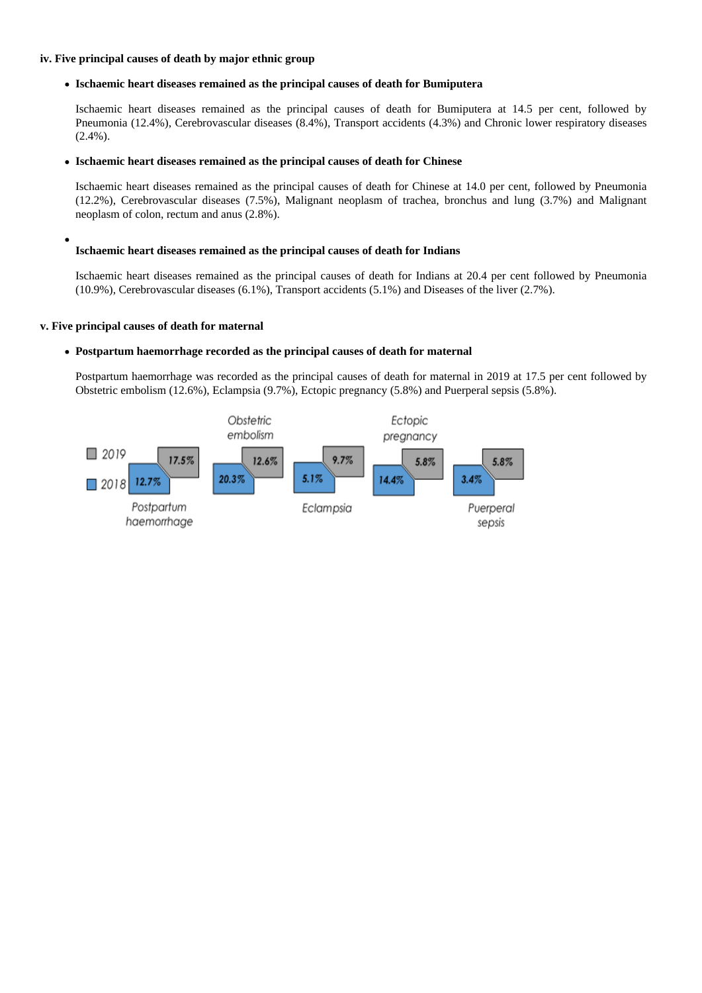#### **iv. Five principal causes of death by major ethnic group**

#### **Ischaemic heart diseases remained as the principal causes of death for Bumiputera**

Ischaemic heart diseases remained as the principal causes of death for Bumiputera at 14.5 per cent, followed by Pneumonia (12.4%), Cerebrovascular diseases (8.4%), Transport accidents (4.3%) and Chronic lower respiratory diseases (2.4%).

#### **Ischaemic heart diseases remained as the principal causes of death for Chinese**

Ischaemic heart diseases remained as the principal causes of death for Chinese at 14.0 per cent, followed by Pneumonia (12.2%), Cerebrovascular diseases (7.5%), Malignant neoplasm of trachea, bronchus and lung (3.7%) and Malignant neoplasm of colon, rectum and anus (2.8%).

#### **Ischaemic heart diseases remained as the principal causes of death for Indians**

Ischaemic heart diseases remained as the principal causes of death for Indians at 20.4 per cent followed by Pneumonia (10.9%), Cerebrovascular diseases (6.1%), Transport accidents (5.1%) and Diseases of the liver (2.7%).

#### **v. Five principal causes of death for maternal**

#### **Postpartum haemorrhage recorded as the principal causes of death for maternal**

Postpartum haemorrhage was recorded as the principal causes of death for maternal in 2019 at 17.5 per cent followed by Obstetric embolism (12.6%), Eclampsia (9.7%), Ectopic pregnancy (5.8%) and Puerperal sepsis (5.8%).

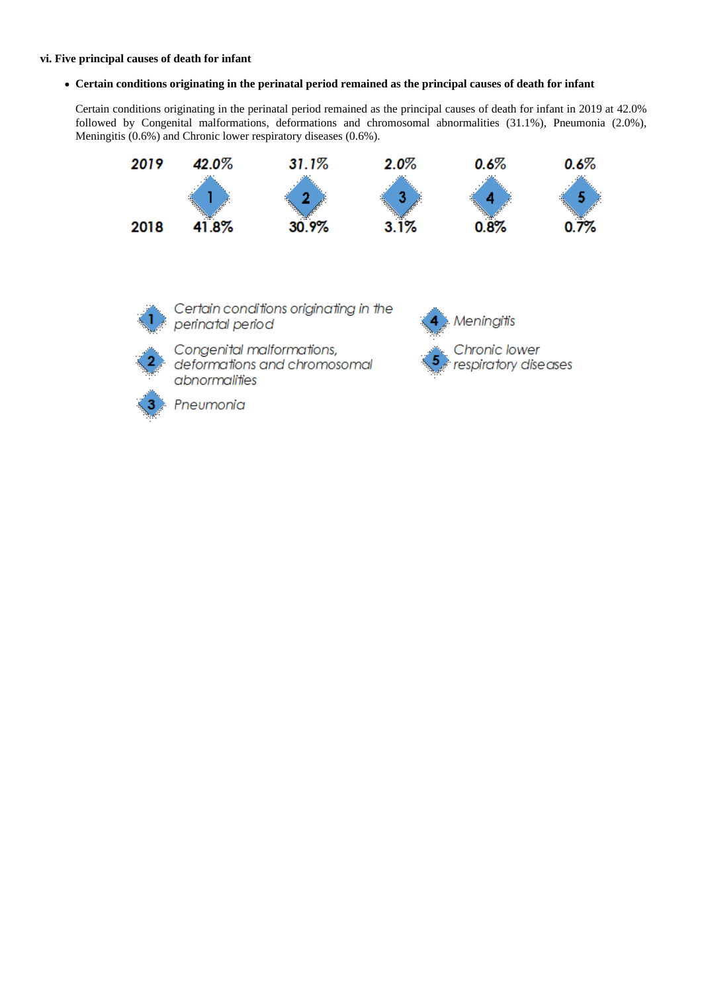#### **vi. Five principal causes of death for infant**

**Certain conditions originating in the perinatal period remained as the principal causes of death for infant**

Certain conditions originating in the perinatal period remained as the principal causes of death for infant in 2019 at 42.0% followed by Congenital malformations, deformations and chromosomal abnormalities (31.1%), Pneumonia (2.0%), Meningitis (0.6%) and Chronic lower respiratory diseases (0.6%).





Certain conditions originating in the perinatal period Congenital malformations, deformations and chromosomal

**Meningitis** Chronic lower respiratory diseases



Pneumonia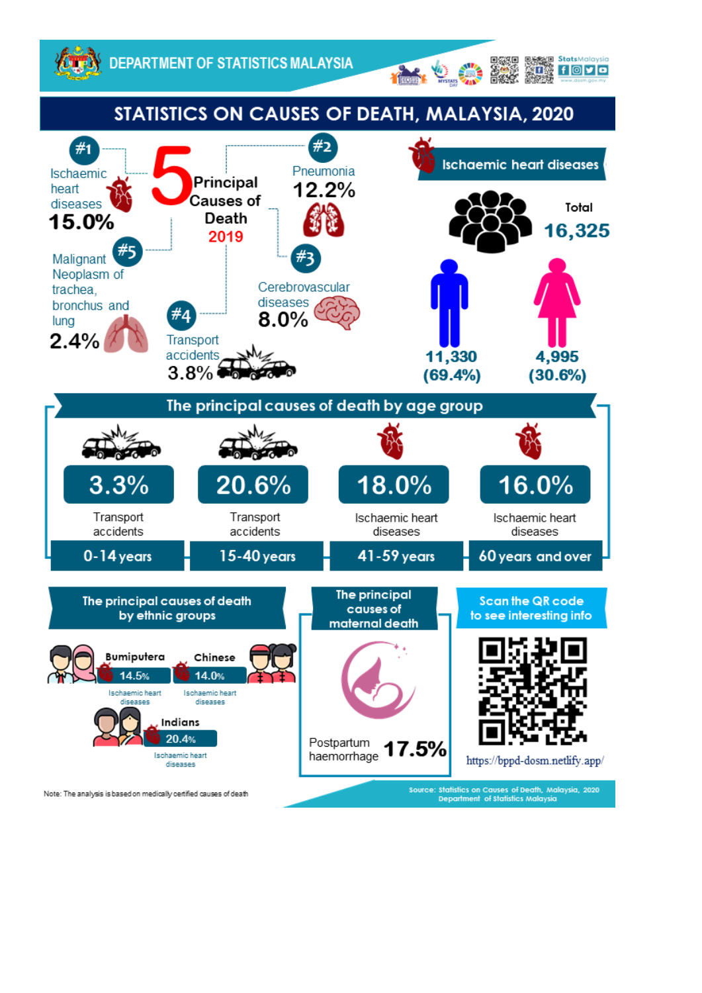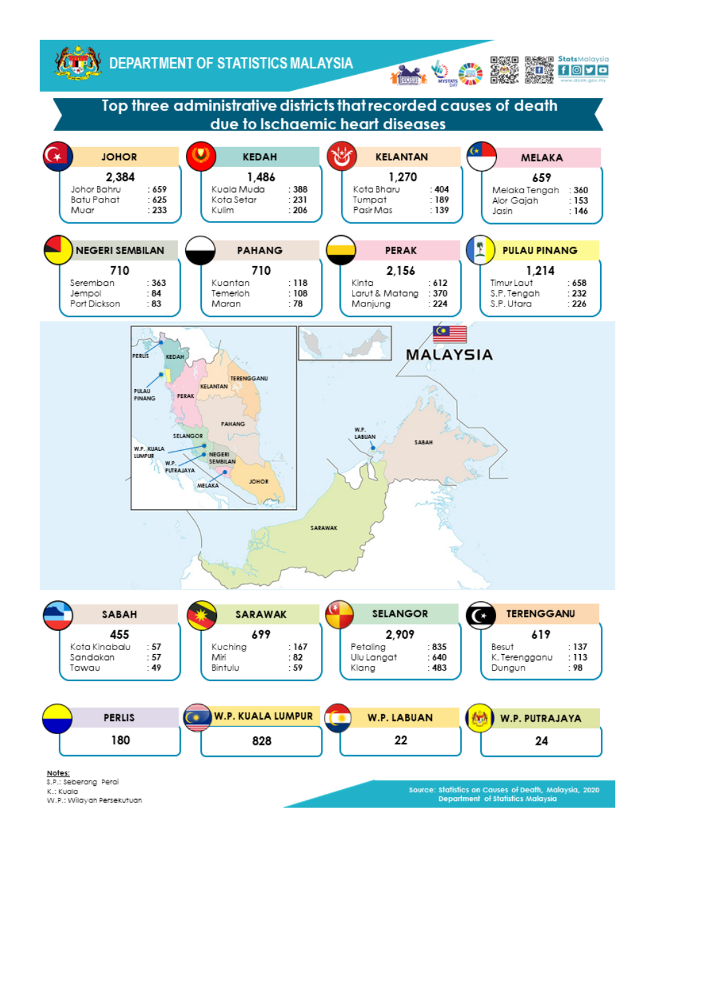